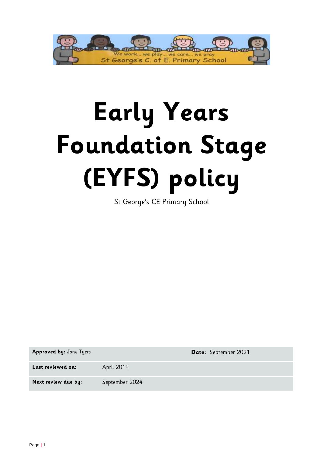

# **Early Years Foundation Stage (EYFS) policy**

St George's CE Primary School

**Approved by:** Jane Tyers **Date:** September 2021

Last reviewed on: April 2019

Next review due by: September 2024

Page **|** 1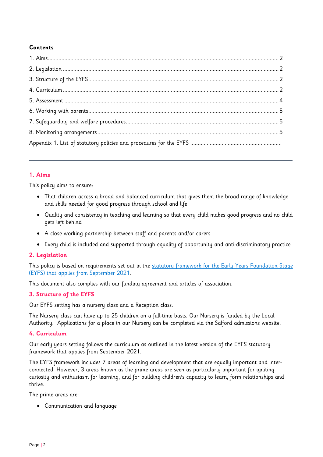# **Contents**

# **1. Aims**

This policy aims to ensure:

- That children access a broad and balanced curriculum that gives them the broad range of knowledge and skills needed for good progress through school and life
- Quality and consistency in teaching and learning so that every child makes good progress and no child gets left behind
- A close working partnership between staff and parents and/or carers
- Every child is included and supported through equality of opportunity and anti-discriminatory practice

# **2. Legislation**

This policy is based on requirements set out in the statutory framework for the Early Years Foundation Stage (EYFS) that [applies from September 2021.](https://www.gov.uk/government/publications/early-years-foundation-stage-framework--2/)

This document also complies with our funding agreement and articles of association.

# **3. Structure of the EYFS**

Our EYFS setting has a nursery class and a Reception class.

The Nursery class can have up to 25 children on a full-time basis. Our Nursery is funded by the Local Authority. Applications for a place in our Nursery can be completed via the Salford admissions website.

# **4. Curriculum**

Our early years setting follows the curriculum as outlined in the latest version of the EYFS statutory framework that applies from September 2021.

The EYFS framework includes 7 areas of learning and development that are equally important and interconnected. However, 3 areas known as the prime areas are seen as particularly important for igniting curiosity and enthusiasm for learning, and for building children's capacity to learn, form relationships and thrive.

The prime areas are:

Communication and language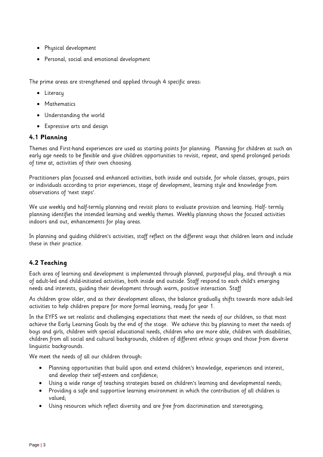- Physical development
- Personal, social and emotional development

The prime areas are strengthened and applied through 4 specific areas:

- Literacy
- Mathematics
- Understanding the world
- Expressive arts and design

# **4.1 Planning**

Themes and First-hand experiences are used as starting points for planning. Planning for children at such an early age needs to be flexible and give children opportunities to revisit, repeat, and spend prolonged periods of time at, activities of their own choosing.

Practitioners plan focussed and enhanced activities, both inside and outside, for whole classes, groups, pairs or individuals according to prior experiences, stage of development, learning style and knowledge from observations of 'next steps'.

We use weekly and half-termly planning and revisit plans to evaluate provision and learning. Half- termly planning identifies the intended learning and weekly themes. Weekly planning shows the focused activities indoors and out, enhancements for play areas.

In planning and guiding children's activities, staff reflect on the different ways that children learn and include these in their practice.

# **4.2 Teaching**

Each area of learning and development is implemented through planned, purposeful play, and through a mix of adult-led and child-initiated activities, both inside and outside. Staff respond to each child's emerging needs and interests, guiding their development through warm, positive interaction. Staff

As children grow older, and as their development allows, the balance gradually shifts towards more adult-led activities to help children prepare for more formal learning, ready for year 1.

In the EYFS we set realistic and challenging expectations that meet the needs of our children, so that most achieve the Early Learning Goals by the end of the stage. We achieve this by planning to meet the needs of boys and girls, children with special educational needs, children who are more able, children with disabilities, children from all social and cultural backgrounds, children of different ethnic groups and those from diverse linguistic backgrounds.

We meet the needs of all our children through:

- Planning opportunities that build upon and extend children's knowledge, experiences and interest, and develop their self-esteem and confidence;
- Using a wide range of teaching strategies based on children's learning and developmental needs;
- Providing a safe and supportive learning environment in which the contribution of all children is valued;
- Using resources which reflect diversity and are free from discrimination and stereotyping;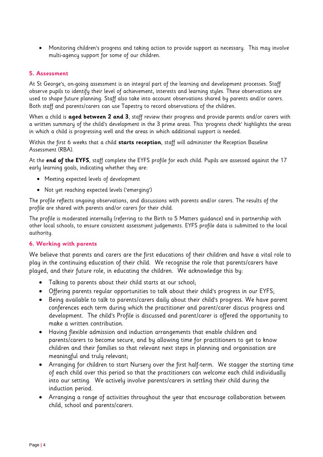Monitoring children's progress and taking action to provide support as necessary. This may involve multi-agency support for some of our children.

### **5. Assessment**

At St George's, on-going assessment is an integral part of the learning and development processes. Staff observe pupils to identify their level of achievement, interests and learning styles. These observations are used to shape future planning. Staff also take into account observations shared by parents and/or carers. Both staff and parents/carers can use Tapestry to record observations of the children.

When a child is **aged between 2 and 3**, staff review their progress and provide parents and/or carers with a written summary of the child's development in the 3 prime areas. This 'progress check' highlights the areas in which a child is progressing well and the areas in which additional support is needed.

Within the first 6 weeks that a child **starts reception**, staff will administer the Reception Baseline Assessment (RBA).

At the **end of the EYFS**, staff complete the EYFS profile for each child. Pupils are assessed against the 17 early learning goals, indicating whether they are:

- Meeting expected levels of development
- Not yet reaching expected levels ('emerging')

The profile reflects ongoing observations, and discussions with parents and/or carers. The results of the profile are shared with parents and/or carers for their child.

The profile is moderated internally (referring to the Birth to 5 Matters guidance) and in partnership with other local schools, to ensure consistent assessment judgements. EYFS profile data is submitted to the local authority.

#### **6. Working with parents**

We believe that parents and carers are the first educations of their children and have a vital role to play in the continuing education of their child. We recognise the role that parents/carers have played, and their future role, in educating the children. We acknowledge this by:

- Talking to parents about their child starts at our school;
- Offering parents regular opportunities to talk about their child's progress in our EYFS;
- Being available to talk to parents/carers daily about their child's progress. We have parent conferences each term during which the practitioner and parent/carer discus progress and development. The child's Profile is discussed and parent/carer is offered the opportunity to make a written contribution.
- Having flexible admission and induction arrangements that enable children and parents/carers to become secure, and by allowing time for practitioners to get to know children and their families so that relevant next steps in planning and organisation are meaningful and truly relevant;
- Arranging for children to start Nursery over the first half-term. We stagger the starting time of each child over this period so that the practitioners can welcome each child individually into our setting. We actively involve parents/carers in settling their child during the induction period.
- Arranging a range of activities throughout the year that encourage collaboration between child, school and parents/carers.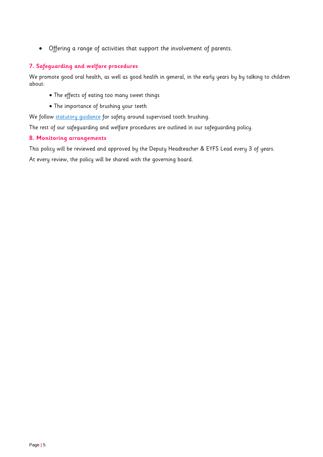Offering a range of activities that support the involvement of parents.

# **7. Safeguarding and welfare procedures**

We promote good oral health, as well as good health in general, in the early years by by talking to children about:

- The effects of eating too many sweet things
- The importance of brushing your teeth

We follow statutory quidance for safety around supervised tooth brushing.

The rest of our safeguarding and welfare procedures are outlined in our safeguarding policy.

### **8. Monitoring arrangements**

This policy will be reviewed and approved by the Deputy Headteacher & EYFS Lead every 3 of years. At every review, the policy will be shared with the governing board.